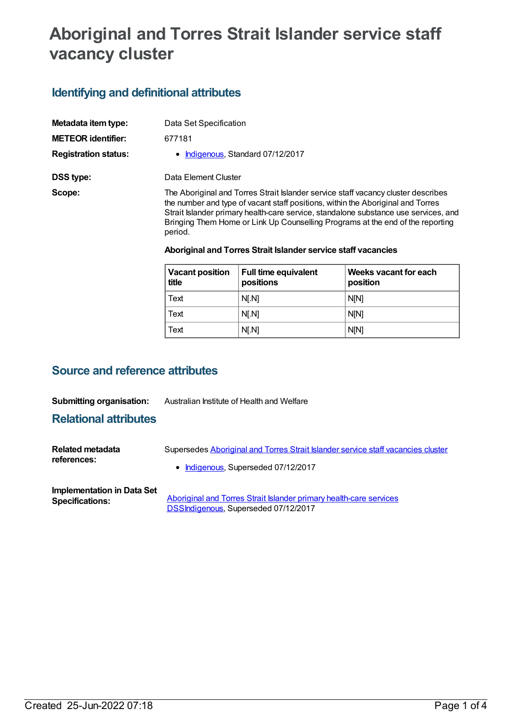# **Aboriginal and Torres Strait Islander service staff vacancy cluster**

## **Identifying and definitional attributes**

| Metadata item type:         | Data Set Specification                                                                                                                                                                                                                                                                                                                                   |
|-----------------------------|----------------------------------------------------------------------------------------------------------------------------------------------------------------------------------------------------------------------------------------------------------------------------------------------------------------------------------------------------------|
| <b>METEOR identifier:</b>   | 677181                                                                                                                                                                                                                                                                                                                                                   |
| <b>Registration status:</b> | • Indigenous, Standard 07/12/2017                                                                                                                                                                                                                                                                                                                        |
| DSS type:                   | Data Element Cluster                                                                                                                                                                                                                                                                                                                                     |
| Scope:                      | The Aboriginal and Torres Strait Islander service staff vacancy cluster describes<br>the number and type of vacant staff positions, within the Aboriginal and Torres<br>Strait Islander primary health-care service, standalone substance use services, and<br>Bringing Them Home or Link Up Counselling Programs at the end of the reporting<br>period. |
|                             |                                                                                                                                                                                                                                                                                                                                                          |

#### **Aboriginal and Torres Strait Islander service staff vacancies**

| Vacant position<br>title | <b>Full time equivalent</b><br>positions | Weeks vacant for each<br>position |
|--------------------------|------------------------------------------|-----------------------------------|
| l Text                   | N[.N]                                    | <b>N[N]</b>                       |
| Text                     | N[.N]                                    | <b>NIN1</b>                       |
| Text                     | N[.N]                                    | <b>N[N]</b>                       |

### **Source and reference attributes**

#### **Submitting organisation:** Australian Institute of Health and Welfare

### **Relational attributes**

| Related metadata<br>references: | Supersedes Aboriginal and Torres Strait Islander service staff vacancies cluster |
|---------------------------------|----------------------------------------------------------------------------------|
|                                 | • Indigenous, Superseded 07/12/2017                                              |
|                                 |                                                                                  |

**Implementation in Data Set**

**Aboriginal and Torres Strait Islander primary health-care services** [DSSIndigenous,](https://meteor.aihw.gov.au/content/664757) Superseded 07/12/2017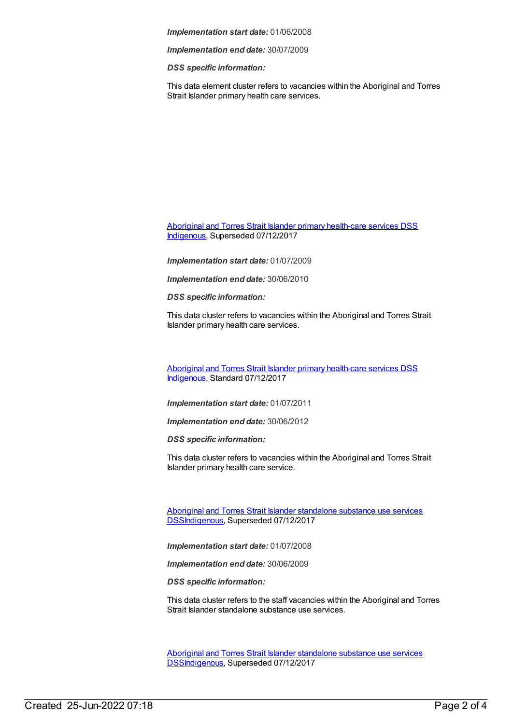*Implementation start date:* 01/06/2008

*Implementation end date:* 30/07/2009

*DSS specific information:*

This data element cluster refers to vacancies within the Aboriginal and Torres Strait Islander primary health care services.

Aboriginal and Torres Strait Islander primary [health-care](https://meteor.aihw.gov.au/content/664859) services DSS [Indigenous](https://meteor.aihw.gov.au/RegistrationAuthority/6), Superseded 07/12/2017

*Implementation start date:* 01/07/2009

*Implementation end date:* 30/06/2010

*DSS specific information:*

This data cluster refers to vacancies within the Aboriginal and Torres Strait Islander primary health care services.

Aboriginal and Torres Strait Islander primary [health-care](https://meteor.aihw.gov.au/content/664877) services DSS [Indigenous](https://meteor.aihw.gov.au/RegistrationAuthority/6), Standard 07/12/2017

*Implementation start date:* 01/07/2011

*Implementation end date:* 30/06/2012

*DSS specific information:*

This data cluster refers to vacancies within the Aboriginal and Torres Strait Islander primary health care service.

Aboriginal and Torres Strait Islander standalone substance use services [DSSIndigenous,](https://meteor.aihw.gov.au/content/664760) Superseded 07/12/2017

*Implementation start date:* 01/07/2008

*Implementation end date:* 30/06/2009

*DSS specific information:*

This data cluster refers to the staff vacancies within the Aboriginal and Torres Strait Islander standalone substance use services.

Aboriginal and Torres Strait Islander standalone substance use services [DSSIndigenous,](https://meteor.aihw.gov.au/content/561172) Superseded 07/12/2017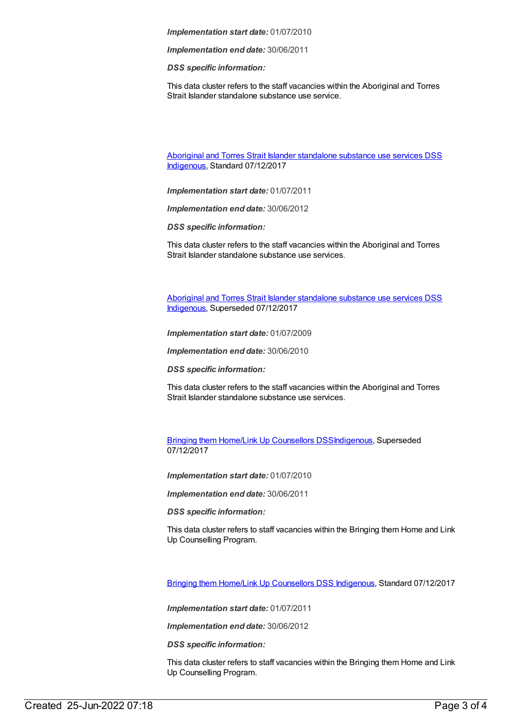*Implementation start date:* 01/07/2010

*Implementation end date:* 30/06/2011

*DSS specific information:*

This data cluster refers to the staff vacancies within the Aboriginal and Torres Strait Islander standalone substance use service.

Aboriginal and Torres Strait Islander [standalone](https://meteor.aihw.gov.au/content/664879) substance use services DSS [Indigenous](https://meteor.aihw.gov.au/RegistrationAuthority/6), Standard 07/12/2017

*Implementation start date:* 01/07/2011

*Implementation end date:* 30/06/2012

*DSS specific information:*

This data cluster refers to the staff vacancies within the Aboriginal and Torres Strait Islander standalone substance use services.

Aboriginal and Torres Strait Islander [standalone](https://meteor.aihw.gov.au/content/664861) substance use services DSS [Indigenous](https://meteor.aihw.gov.au/RegistrationAuthority/6), Superseded 07/12/2017

*Implementation start date:* 01/07/2009

*Implementation end date:* 30/06/2010

*DSS specific information:*

This data cluster refers to the staff vacancies within the Aboriginal and Torres Strait Islander standalone substance use services.

Bringing them Home/Link Up [Counsellors](https://meteor.aihw.gov.au/content/561178) DSS[Indigenous](https://meteor.aihw.gov.au/RegistrationAuthority/6), Superseded 07/12/2017

*Implementation start date:* 01/07/2010

*Implementation end date:* 30/06/2011

*DSS specific information:*

This data cluster refers to staff vacancies within the Bringing them Home and Link Up Counselling Program.

Bringing them Home/Link Up [Counsellors](https://meteor.aihw.gov.au/content/664881) DSS [Indigenous](https://meteor.aihw.gov.au/RegistrationAuthority/6), Standard 07/12/2017

*Implementation start date:* 01/07/2011

*Implementation end date:* 30/06/2012

*DSS specific information:*

This data cluster refers to staff vacancies within the Bringing them Home and Link Up Counselling Program.